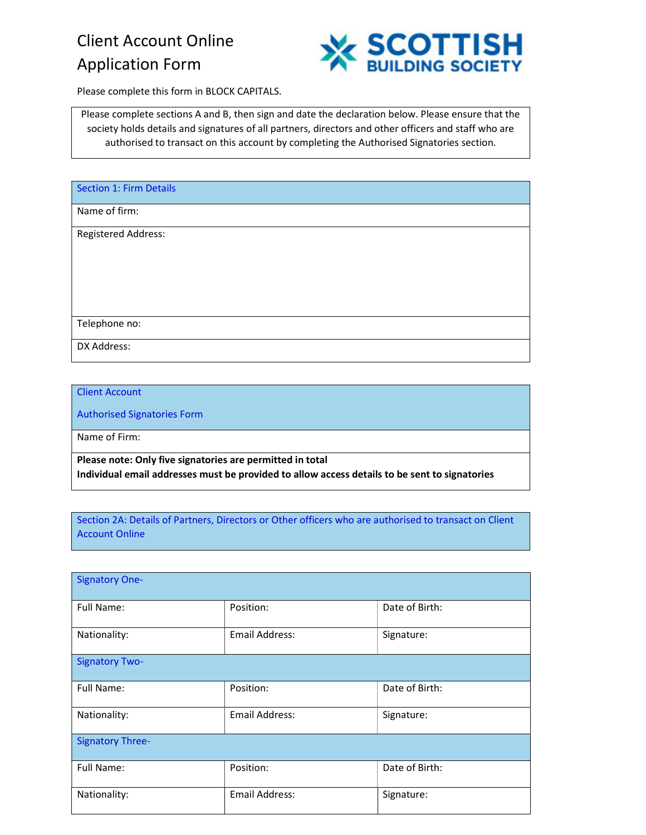# Client Account Online Application Form



Please complete this form in BLOCK CAPITALS.

Please complete sections A and B, then sign and date the declaration below. Please ensure that the society holds details and signatures of all partners, directors and other officers and staff who are authorised to transact on this account by completing the Authorised Signatories section.

| <b>Section 1: Firm Details</b> |  |
|--------------------------------|--|
| Name of firm:                  |  |
| <b>Registered Address:</b>     |  |
|                                |  |
|                                |  |
|                                |  |
| Telephone no:                  |  |
| DX Address:                    |  |

Client Account

Authorised Signatories Form

Name of Firm:

Please note: Only five signatories are permitted in total Individual email addresses must be provided to allow access details to be sent to signatories

Section 2A: Details of Partners, Directors or Other officers who are authorised to transact on Client Account Online

| <b>Signatory One-</b>   |                |                |
|-------------------------|----------------|----------------|
| Full Name:              | Position:      | Date of Birth: |
| Nationality:            | Email Address: | Signature:     |
| <b>Signatory Two-</b>   |                |                |
| Full Name:              | Position:      | Date of Birth: |
| Nationality:            | Email Address: | Signature:     |
| <b>Signatory Three-</b> |                |                |
| Full Name:              | Position:      | Date of Birth: |
| Nationality:            | Email Address: | Signature:     |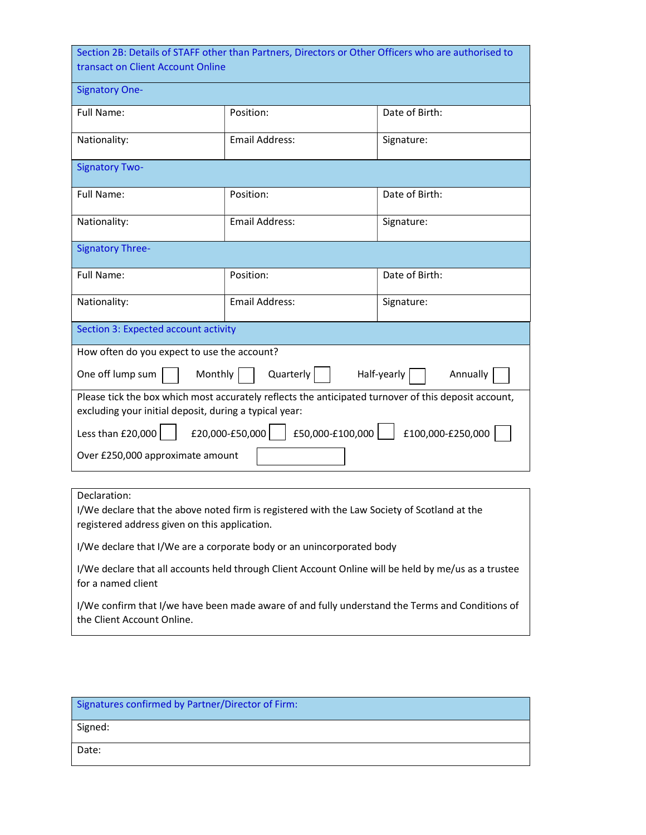| Section 2B: Details of STAFF other than Partners, Directors or Other Officers who are authorised to<br>transact on Client Account Online |                                                                                                      |                         |  |  |  |  |  |
|------------------------------------------------------------------------------------------------------------------------------------------|------------------------------------------------------------------------------------------------------|-------------------------|--|--|--|--|--|
| <b>Signatory One-</b>                                                                                                                    |                                                                                                      |                         |  |  |  |  |  |
| Full Name:                                                                                                                               | Position:                                                                                            | Date of Birth:          |  |  |  |  |  |
| Nationality:                                                                                                                             | Email Address:                                                                                       | Signature:              |  |  |  |  |  |
| <b>Signatory Two-</b>                                                                                                                    |                                                                                                      |                         |  |  |  |  |  |
| <b>Full Name:</b>                                                                                                                        | Position:                                                                                            | Date of Birth:          |  |  |  |  |  |
| Email Address:<br>Nationality:<br>Signature:                                                                                             |                                                                                                      |                         |  |  |  |  |  |
| <b>Signatory Three-</b>                                                                                                                  |                                                                                                      |                         |  |  |  |  |  |
| Full Name:                                                                                                                               | Position:                                                                                            | Date of Birth:          |  |  |  |  |  |
| Nationality:                                                                                                                             | Signature:                                                                                           |                         |  |  |  |  |  |
| Section 3: Expected account activity                                                                                                     |                                                                                                      |                         |  |  |  |  |  |
| How often do you expect to use the account?                                                                                              |                                                                                                      |                         |  |  |  |  |  |
| One off lump sum<br>Monthly                                                                                                              | Quarterly                                                                                            | Half-yearly<br>Annually |  |  |  |  |  |
| excluding your initial deposit, during a typical year:                                                                                   | Please tick the box which most accurately reflects the anticipated turnover of this deposit account, |                         |  |  |  |  |  |
| Less than £20,000                                                                                                                        | £20,000-£50,000<br>£50,000-£100,000                                                                  | £100,000-£250,000       |  |  |  |  |  |
| Over £250,000 approximate amount                                                                                                         |                                                                                                      |                         |  |  |  |  |  |

Declaration:

I/We declare that the above noted firm is registered with the Law Society of Scotland at the registered address given on this application.

I/We declare that I/We are a corporate body or an unincorporated body

I/We declare that all accounts held through Client Account Online will be held by me/us as a trustee for a named client

I/We confirm that I/we have been made aware of and fully understand the Terms and Conditions of the Client Account Online.

| Signatures confirmed by Partner/Director of Firm: |
|---------------------------------------------------|
| <sup>'</sup> Signed:                              |
| Date:                                             |